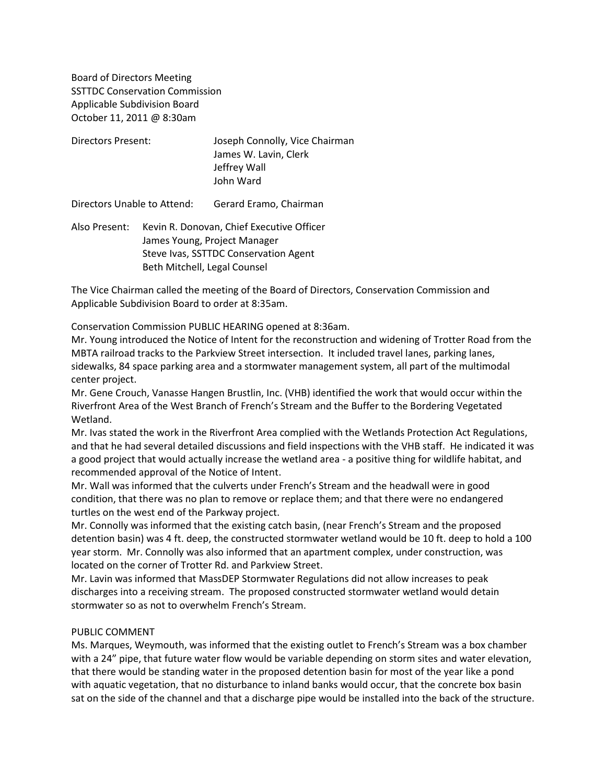Board of Directors Meeting SSTTDC Conservation Commission Applicable Subdivision Board October 11, 2011 @ 8:30am

| <b>Directors Present:</b>   |                                                                                                                    | Joseph Connolly, Vice Chairman<br>James W. Lavin, Clerk<br>Jeffrey Wall<br>John Ward |
|-----------------------------|--------------------------------------------------------------------------------------------------------------------|--------------------------------------------------------------------------------------|
| Directors Unable to Attend: |                                                                                                                    | Gerard Eramo, Chairman                                                               |
| Also Present:               | Kevin R. Donovan, Chief Executive Officer<br>James Young, Project Manager<br>Steve Ivas, SSTTDC Conservation Agent |                                                                                      |

Beth Mitchell, Legal Counsel

The Vice Chairman called the meeting of the Board of Directors, Conservation Commission and Applicable Subdivision Board to order at 8:35am.

Conservation Commission PUBLIC HEARING opened at 8:36am.

Mr. Young introduced the Notice of Intent for the reconstruction and widening of Trotter Road from the MBTA railroad tracks to the Parkview Street intersection. It included travel lanes, parking lanes, sidewalks, 84 space parking area and a stormwater management system, all part of the multimodal center project.

Mr. Gene Crouch, Vanasse Hangen Brustlin, Inc. (VHB) identified the work that would occur within the Riverfront Area of the West Branch of French's Stream and the Buffer to the Bordering Vegetated Wetland.

Mr. Ivas stated the work in the Riverfront Area complied with the Wetlands Protection Act Regulations, and that he had several detailed discussions and field inspections with the VHB staff. He indicated it was a good project that would actually increase the wetland area - a positive thing for wildlife habitat, and recommended approval of the Notice of Intent.

Mr. Wall was informed that the culverts under French's Stream and the headwall were in good condition, that there was no plan to remove or replace them; and that there were no endangered turtles on the west end of the Parkway project.

Mr. Connolly was informed that the existing catch basin, (near French's Stream and the proposed detention basin) was 4 ft. deep, the constructed stormwater wetland would be 10 ft. deep to hold a 100 year storm. Mr. Connolly was also informed that an apartment complex, under construction, was located on the corner of Trotter Rd. and Parkview Street.

Mr. Lavin was informed that MassDEP Stormwater Regulations did not allow increases to peak discharges into a receiving stream. The proposed constructed stormwater wetland would detain stormwater so as not to overwhelm French's Stream.

#### PUBLIC COMMENT

Ms. Marques, Weymouth, was informed that the existing outlet to French's Stream was a box chamber with a 24" pipe, that future water flow would be variable depending on storm sites and water elevation, that there would be standing water in the proposed detention basin for most of the year like a pond with aquatic vegetation, that no disturbance to inland banks would occur, that the concrete box basin sat on the side of the channel and that a discharge pipe would be installed into the back of the structure.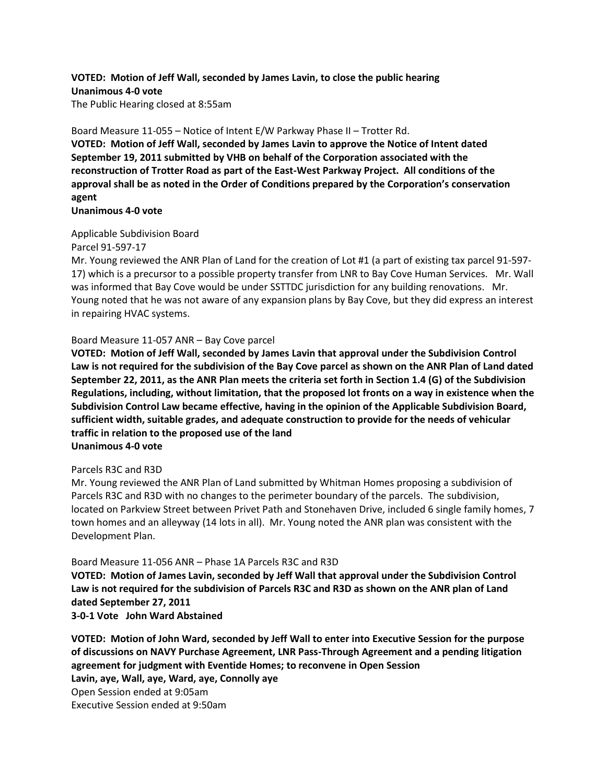# **VOTED: Motion of Jeff Wall, seconded by James Lavin, to close the public hearing Unanimous 4-0 vote**

The Public Hearing closed at 8:55am

Board Measure 11-055 – Notice of Intent E/W Parkway Phase II – Trotter Rd.

**VOTED: Motion of Jeff Wall, seconded by James Lavin to approve the Notice of Intent dated September 19, 2011 submitted by VHB on behalf of the Corporation associated with the reconstruction of Trotter Road as part of the East-West Parkway Project. All conditions of the approval shall be as noted in the Order of Conditions prepared by the Corporation's conservation agent**

**Unanimous 4-0 vote**

## Applicable Subdivision Board

Parcel 91-597-17

Mr. Young reviewed the ANR Plan of Land for the creation of Lot #1 (a part of existing tax parcel 91-597- 17) which is a precursor to a possible property transfer from LNR to Bay Cove Human Services. Mr. Wall was informed that Bay Cove would be under SSTTDC jurisdiction for any building renovations. Mr. Young noted that he was not aware of any expansion plans by Bay Cove, but they did express an interest in repairing HVAC systems.

### Board Measure 11-057 ANR – Bay Cove parcel

**VOTED: Motion of Jeff Wall, seconded by James Lavin that approval under the Subdivision Control Law is not required for the subdivision of the Bay Cove parcel as shown on the ANR Plan of Land dated September 22, 2011, as the ANR Plan meets the criteria set forth in Section 1.4 (G) of the Subdivision Regulations, including, without limitation, that the proposed lot fronts on a way in existence when the Subdivision Control Law became effective, having in the opinion of the Applicable Subdivision Board, sufficient width, suitable grades, and adequate construction to provide for the needs of vehicular traffic in relation to the proposed use of the land Unanimous 4-0 vote**

### Parcels R3C and R3D

Mr. Young reviewed the ANR Plan of Land submitted by Whitman Homes proposing a subdivision of Parcels R3C and R3D with no changes to the perimeter boundary of the parcels. The subdivision, located on Parkview Street between Privet Path and Stonehaven Drive, included 6 single family homes, 7 town homes and an alleyway (14 lots in all). Mr. Young noted the ANR plan was consistent with the Development Plan.

### Board Measure 11-056 ANR – Phase 1A Parcels R3C and R3D

**VOTED: Motion of James Lavin, seconded by Jeff Wall that approval under the Subdivision Control Law is not required for the subdivision of Parcels R3C and R3D as shown on the ANR plan of Land dated September 27, 2011**

**3-0-1 Vote John Ward Abstained**

**VOTED: Motion of John Ward, seconded by Jeff Wall to enter into Executive Session for the purpose of discussions on NAVY Purchase Agreement, LNR Pass-Through Agreement and a pending litigation agreement for judgment with Eventide Homes; to reconvene in Open Session Lavin, aye, Wall, aye, Ward, aye, Connolly aye** Open Session ended at 9:05am Executive Session ended at 9:50am